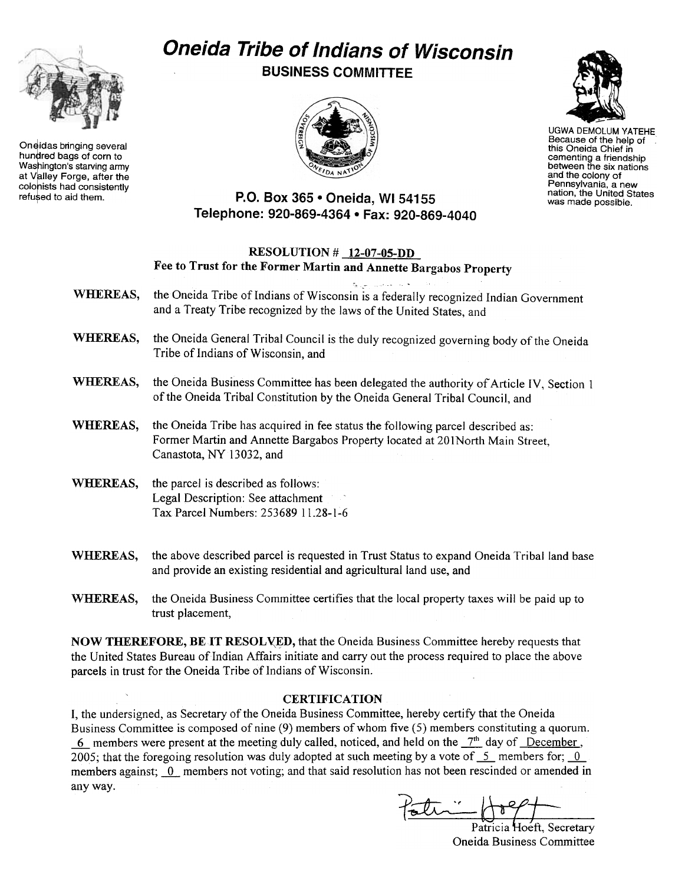# Oneida Tribe of Indians of Wisconsin BUSINESS COMMITTEE



Oneidas bringing several<br>hundred bags of corn to Washington's starving army at Valley Forge, after the colonists had consistently<br>refused to aid them.





UGWA DEMOLUM YATEHE Because of the help of this Oneida Chief in cementing a friendship between the six nations and the colony of Pennsylvania, a new nation, the United States was made possible.

### P.O. Box 365 . Oneida, WI 54155 Telephone: 920-869-4364 · Fax: 920-869-4040

## WHEREAS, RESOLUTION # 12-07-05-DD Fee to Trust for the Former Martin and Annette Bargabos Property c,. . the Oneida Tribe of Indians of Wisconsin is a federally recognized Indian Government and a Treaty Tribe recognized by the laws of the United States, and WHEREAS, the Oneida General Tribal Council is the duly recognized governing body of the Oneida Tribe of Indians of Wisconsin, and WHEREAS, the Oneida Business Committee has been delegated the authority of Article IV. Section 1 of the Oneida Tribal Constitution by the Oneida General Tribal Council, and WHEREAS, the Oneida Tribe has acquired in fee status the following parcel described as: Former Martin and Annette Bargabos Property located at 201North Main Street, Canastota, NY 13032, and WHEREAS, the parcel is described as follows: Legal Description: See attachment Tax Parcel Numbers: 25368911.28-1-6 WHEREAS, the above described parcel is requested in Trust Status to expand Oneida Tribal land base

- and provide an existing residential and agricultural land use, and WHEREAS, the Oneida Business Committee certifies that the local property taxes will be paid up to
- trust placement,

NOW THEREFORE, BE IT RESOLVED, that the Oneida Business Committee hereby requests that the United States Bureau of Indian Affairs initiate and carry out the process required to place the above parcels in trust for the Oneida Tribe of Indians of Wisconsin.

#### **CERTIFICATION**

I, the undersigned, as Secretary of the Oneida Business Committee, hereby certify that the Oneida Business Committee is composed of nine (9) members of whom five (5) members constituting a quorum. 6 members were present at the meeting duly called, noticed, and held on the  $7<sup>th</sup>$  day of December, 2005; that the foregoing resolution was duly adopted at such meeting by a vote of  $\overline{\phantom{a}}$ - members for;  $\overline{\phantom{a}}$ members against; 0\_ members not voting; and that said resolution has not been rescinded or amended in any way.

Patricia Hoeft, Secretary<br>Oneida Business Committee